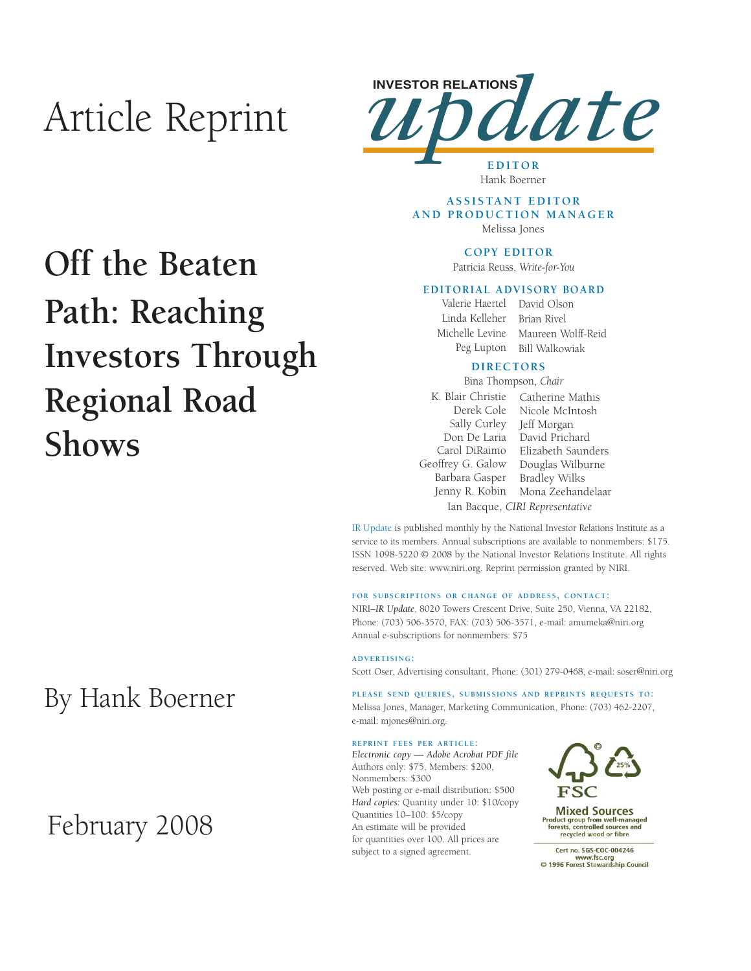# Article Reprint



Hank Boerner

### **ASSISTANT EDITOR AND PRODUCTION MANAGER** Melissa Jones

## **COPY EDITOR**

Patricia Reuss, *Write-for-You*

### **EDITORIAL ADVISORY BOARD**

Valerie Haertel David Olson Linda Kelleher Michelle Levine Peg Lupton Brian Rivel Maureen Wolff-Reid Bill Walkowiak

### **DIRECTORS**

K. Blair Christie Catherine Mathis Derek Cole Sally Curley Jeff Morgan Don De Laria David Prichard Carol DiRaimo Geoffrey G. Galow Barbara Gasper Jenny R. Kobin Nicole McIntosh Elizabeth Saunders Douglas Wilburne Bradley Wilks Mona Zeehandelaar Bina Thompson, *Chair* Ian Bacque, *CIRI Representative*

IR Update is published monthly by the National Investor Relations Institute as a service to its members. Annual subscriptions are available to nonmembers: \$175. ISSN 1098-5220 © 2008 by the National Investor Relations Institute. All rights reserved. Web site: www.niri.org. Reprint permission granted by NIRI.

### **FOR SUBSCRIPTIONS OR CHANGE OF ADDRESS, CONTACT:**

NIRI–*IR Update*, 8020 Towers Crescent Drive, Suite 250, Vienna, VA 22182, Phone: (703) 506-3570, FAX: (703) 506-3571, e-mail: amumeka@niri.org Annual e-subscriptions for nonmembers: \$75

#### **ADVERTISING:**

Scott Oser, Advertising consultant, Phone: (301) 279-0468, e-mail: soser@niri.org

**PLEASE SEND QUERIES, SUBMISSIONS AND REPRINTS REQUESTS TO:** Melissa Jones, Manager, Marketing Communication, Phone: (703) 462-2207, e-mail: mjones@niri.org.

### **REPRINT FEES PER ARTICLE:**

*Electronic copy* **—** *Adobe Acrobat PDF file*  Authors only: \$75, Members: \$200, Nonmembers: \$300 Web posting or e-mail distribution: \$500 *Hard copies:* Quantity under 10: \$10/copy Quantities 10–100: \$5/copy An estimate will be provided for quantities over 100. All prices are subject to a signed agreement.



**Mixed Sources** Product group from well-managed<br>forests, controlled sources and recycled wood or fibre

Cert no. SGS-COC-004246 www.fsc.org<br>www.fsc.org<br>© 1996 Forest Stewardship Council

# **Off the Beaten Path: Reaching Investors Through Regional Road Shows**

# By Hank Boerner

# February 2008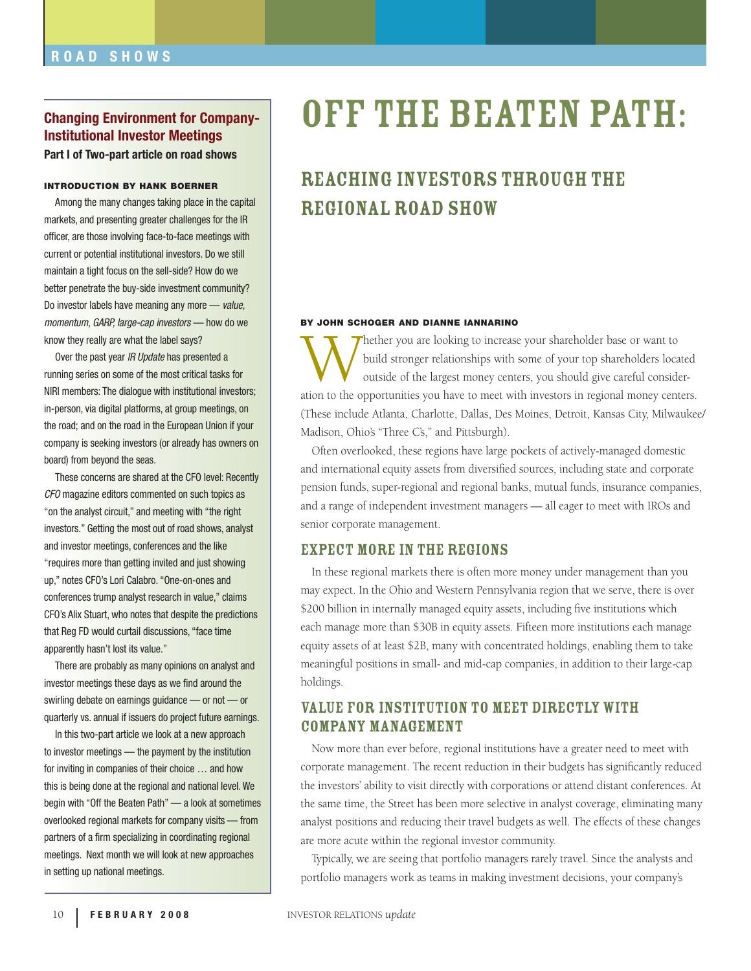## **Changing Environment for Company-Institutional Investor Meetings Part I of Two-part article on road shows**

#### **INTRODUCTION BY HANK BOERNER**

Among the many changes taking place in the capital markets, and presenting greater challenges for the IR officer, are those involving face-to-face meetings with current or potential institutional investors. Do we still maintain a tight focus on the sell-side? How do we better penetrate the buy-side investment community? Do investor labels have meaning any more — value, momentum, GARP, large-cap investors — how do we know they really are what the label says?

Over the past year IR Update has presented a running series on some of the most critical tasks for NIRI members: The dialogue with institutional investors; in-person, via digital platforms, at group meetings, on the road; and on the road in the European Union if your company is seeking investors (or already has owners on board) from beyond the seas.

These concerns are shared at the CFO level: Recently CFO magazine editors commented on such topics as "on the analyst circuit," and meeting with "the right investors." Getting the most out of road shows, analyst and investor meetings, conferences and the like "requires more than getting invited and just showing up," notes CFO's Lori Calabro. "One-on-ones and conferences trump analyst research in value," claims CFO's Alix Stuart, who notes that despite the predictions that Reg FD would curtail discussions, "face time apparently hasn't lost its value."

There are probably as many opinions on analyst and investor meetings these days as we find around the swirling debate on earnings guidance — or not — or quarterly vs. annual if issuers do project future earnings.

In this two-part article we look at a new approach to investor meetings — the payment by the institution for inviting in companies of their choice … and how this is being done at the regional and national level. We begin with "Off the Beaten Path" — a look at sometimes overlooked regional markets for company visits — from partners of a firm specializing in coordinating regional meetings. Next month we will look at new approaches in setting up national meetings.

# Off the Beaten Path:

# Reaching Investors through the Regional Road show

### **BY JOHN SCHOGER AND DIANNE IANNARINO**

Whether you are looking to increase your shareholder base or want to<br>build stronger relationships with some of your top shareholders loca<br>outside of the largest money centers, you should give careful consider<br>ation to the build stronger relationships with some of your top shareholders located outside of the largest money centers, you should give careful consideration to the opportunities you have to meet with investors in regional money centers. (These include Atlanta, Charlotte, Dallas, Des Moines, Detroit, Kansas City, Milwaukee/ Madison, Ohio's "Three C's," and Pittsburgh).

Often overlooked, these regions have large pockets of actively-managed domestic and international equity assets from diversified sources, including state and corporate pension funds, super-regional and regional banks, mutual funds, insurance companies, and a range of independent investment managers — all eager to meet with IROs and senior corporate management.

## Expect More in the Regions

In these regional markets there is often more money under management than you may expect. In the Ohio and Western Pennsylvania region that we serve, there is over \$200 billion in internally managed equity assets, including five institutions which each manage more than \$30B in equity assets. Fifteen more institutions each manage equity assets of at least \$2B, many with concentrated holdings, enabling them to take meaningful positions in small- and mid-cap companies, in addition to their large-cap holdings.

# Value for Institution to Meet Directly With Company Management

Now more than ever before, regional institutions have a greater need to meet with corporate management. The recent reduction in their budgets has significantly reduced the investors' ability to visit directly with corporations or attend distant conferences. At the same time, the Street has been more selective in analyst coverage, eliminating many analyst positions and reducing their travel budgets as well. The effects of these changes are more acute within the regional investor community.

Typically, we are seeing that portfolio managers rarely travel. Since the analysts and portfolio managers work as teams in making investment decisions, your company's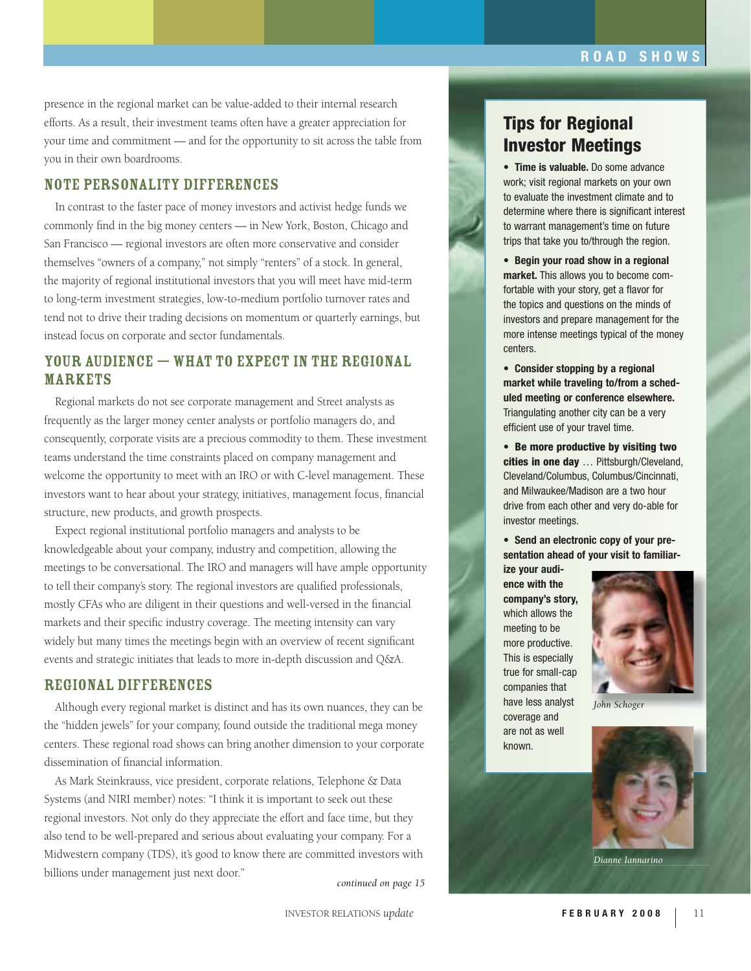presence in the regional market can be value-added to their internal research efforts. As a result, their investment teams often have a greater appreciation for your time and commitment — and for the opportunity to sit across the table from you in their own boardrooms.

# Note Personality Differences

In contrast to the faster pace of money investors and activist hedge funds we commonly find in the big money centers — in New York, Boston, Chicago and San Francisco — regional investors are often more conservative and consider themselves "owners of a company," not simply "renters" of a stock. In general, the majority of regional institutional investors that you will meet have mid-term to long-term investment strategies, low-to-medium portfolio turnover rates and tend not to drive their trading decisions on momentum or quarterly earnings, but instead focus on corporate and sector fundamentals.

# Your Audience — What to Expect in the Regional **MARKETS**

Regional markets do not see corporate management and Street analysts as frequently as the larger money center analysts or portfolio managers do, and consequently, corporate visits are a precious commodity to them. These investment teams understand the time constraints placed on company management and welcome the opportunity to meet with an IRO or with C-level management. These investors want to hear about your strategy, initiatives, management focus, financial structure, new products, and growth prospects.

Expect regional institutional portfolio managers and analysts to be knowledgeable about your company, industry and competition, allowing the meetings to be conversational. The IRO and managers will have ample opportunity to tell their company's story. The regional investors are qualified professionals, mostly CFAs who are diligent in their questions and well-versed in the financial markets and their specific industry coverage. The meeting intensity can vary widely but many times the meetings begin with an overview of recent significant events and strategic initiates that leads to more in-depth discussion and Q&A.

### Regional Differences

Although every regional market is distinct and has its own nuances, they can be the "hidden jewels" for your company, found outside the traditional mega money centers. These regional road shows can bring another dimension to your corporate dissemination of financial information.

As Mark Steinkrauss, vice president, corporate relations, Telephone & Data Systems (and NIRI member) notes: "I think it is important to seek out these regional investors. Not only do they appreciate the effort and face time, but they also tend to be well-prepared and serious about evaluating your company. For a Midwestern company (TDS), it's good to know there are committed investors with billions under management just next door."

*continued on page 15*



• **Time is valuable.** Do some advance work; visit regional markets on your own to evaluate the investment climate and to determine where there is significant interest to warrant management's time on future trips that take you to/through the region.

• **Begin your road show in a regional market.** This allows you to become comfortable with your story, get a flavor for the topics and questions on the minds of investors and prepare management for the more intense meetings typical of the money centers.

• **Consider stopping by a regional market while traveling to/from a scheduled meeting or conference elsewhere.**  Triangulating another city can be a very efficient use of your travel time.

• **Be more productive by visiting two cities in one day** … Pittsburgh/Cleveland, Cleveland/Columbus, Columbus/Cincinnati, and Milwaukee/Madison are a two hour drive from each other and very do-able for investor meetings.

• **Send an electronic copy of your presentation ahead of your visit to familiar-**

**ize your audience with the company's story,**  which allows the meeting to be more productive. This is especially true for small-cap companies that have less analyst coverage and are not as well known.



*John Schoger*



*Dianne Iannarino*